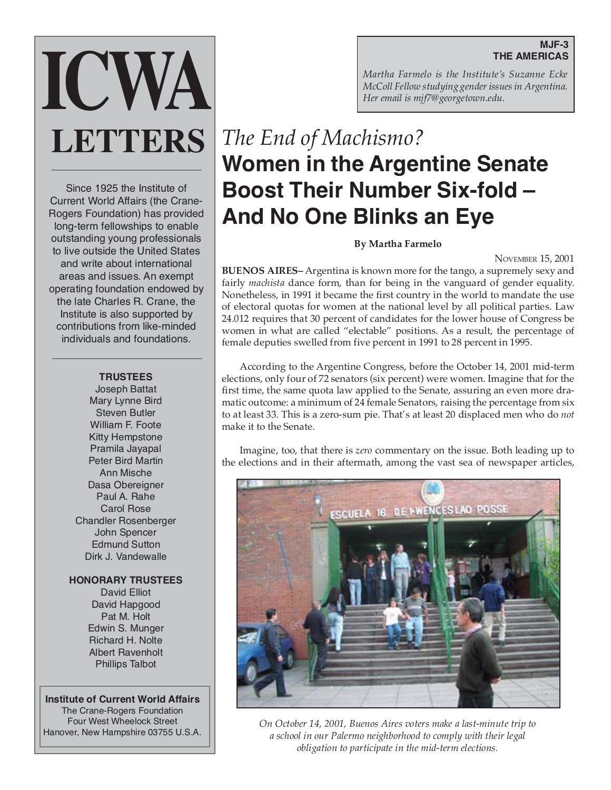#### **MJF-3 THE AMERICAS**

# **ICWA LETTERS**

Since 1925 the Institute of Current World Affairs (the Crane-Rogers Foundation) has provided long-term fellowships to enable outstanding young professionals to live outside the United States and write about international areas and issues. An exempt operating foundation endowed by the late Charles R. Crane, the Institute is also supported by contributions from like-minded individuals and foundations.

#### **TRUSTEES**

Joseph Battat Mary Lynne Bird Steven Butler William F. Foote Kitty Hempstone Pramila Jayapal Peter Bird Martin Ann Mische Dasa Obereigner Paul A. Rahe Carol Rose Chandler Rosenberger John Spencer Edmund Sutton Dirk J. Vandewalle

#### **HONORARY TRUSTEES**

David Elliot David Hapgood Pat M. Holt Edwin S. Munger Richard H. Nolte Albert Ravenholt Phillips Talbot

#### **Institute of Current World Affairs** The Crane-Rogers Foundation Four West Wheelock Street Hanover, New Hampshire 03755 U.S.A.

*Martha Farmelo is the Institute's Suzanne Ecke McColl Fellow studying gender issues in Argentina. Her email is mjf7@georgetown.edu.*

# *The End of Machismo?* **Women in the Argentine Senate Boost Their Number Six-fold – And No One Blinks an Eye**

#### **By Martha Farmelo**

NOVEMBER 15, 2001

**BUENOS AIRES–** Argentina is known more for the tango, a supremely sexy and fairly *machista* dance form, than for being in the vanguard of gender equality. Nonetheless, in 1991 it became the first country in the world to mandate the use of electoral quotas for women at the national level by all political parties. Law 24.012 requires that 30 percent of candidates for the lower house of Congress be women in what are called "electable" positions. As a result, the percentage of female deputies swelled from five percent in 1991 to 28 percent in 1995.

According to the Argentine Congress, before the October 14, 2001 mid-term elections, only four of 72 senators (six percent) were women. Imagine that for the first time, the same quota law applied to the Senate, assuring an even more dramatic outcome: a minimum of 24 female Senators, raising the percentage from six to at least 33. This is a zero-sum pie. That's at least 20 displaced men who do *not* make it to the Senate.

Imagine, too, that there is *zero* commentary on the issue. Both leading up to the elections and in their aftermath, among the vast sea of newspaper articles,



*On October 14, 2001, Buenos Aires voters make a last-minute trip to a school in our Palermo neighborhood to comply with their legal obligation to participate in the mid-term elections.*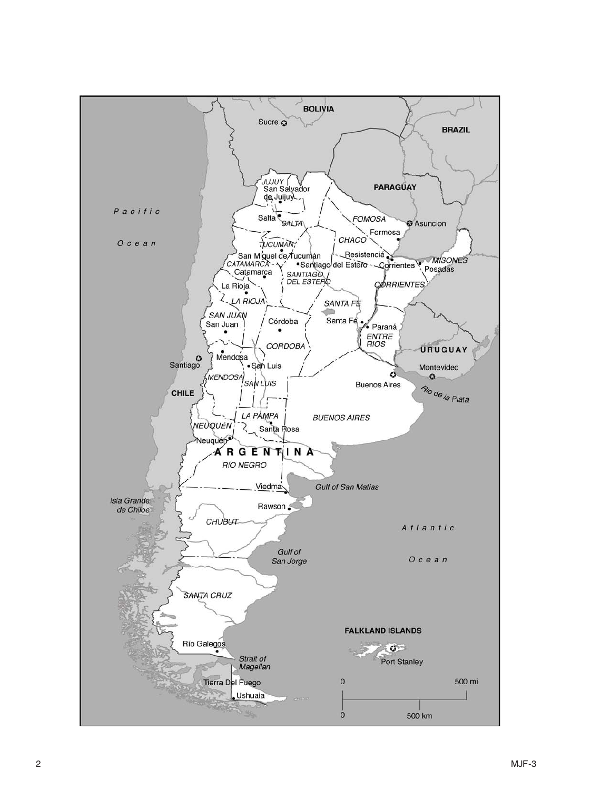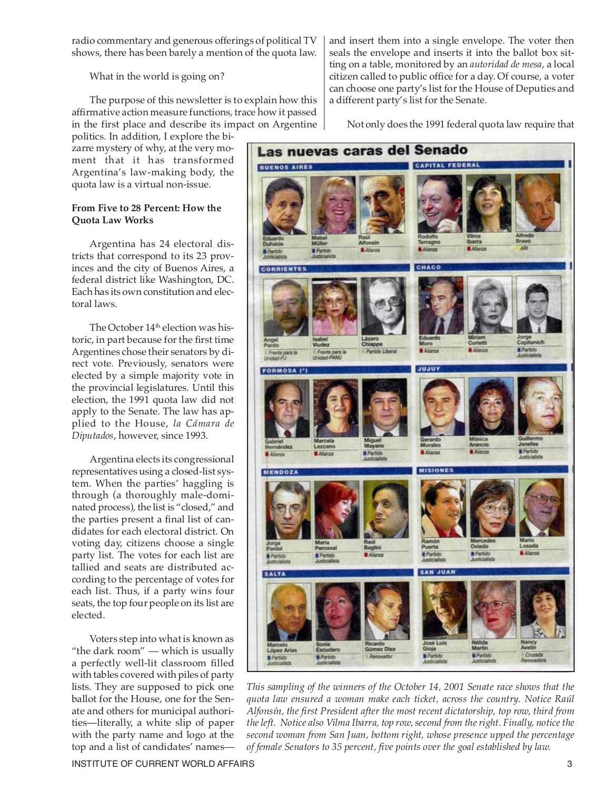radio commentary and generous offerings of political TV shows, there has been barely a mention of the quota law.

What in the world is going on?

The purpose of this newsletter is to explain how this affirmative action measure functions, trace how it passed in the first place and describe its impact on Argentine

politics. In addition, I explore the bizarre mystery of why, at the very moment that it has transformed Argentina's law-making body, the quota law is a virtual non-issue.

#### **From Five to 28 Percent: How the Quota Law Works**

Argentina has 24 electoral districts that correspond to its 23 provinces and the city of Buenos Aires, a federal district like Washington, DC. Each has its own constitution and electoral laws.

The October 14<sup>th</sup> election was historic, in part because for the first time Argentines chose their senators by direct vote. Previously, senators were elected by a simple majority vote in the provincial legislatures. Until this election, the 1991 quota law did not apply to the Senate. The law has applied to the House, *la Cámara de Diputados*, however, since 1993.

Argentina elects its congressional representatives using a closed-list system. When the parties' haggling is through (a thoroughly male-dominated process), the list is "closed," and the parties present a final list of candidates for each electoral district. On voting day, citizens choose a single party list. The votes for each list are tallied and seats are distributed according to the percentage of votes for each list. Thus, if a party wins four seats, the top four people on its list are elected.

Voters step into what is known as "the dark room" — which is usually a perfectly well-lit classroom filled with tables covered with piles of party lists. They are supposed to pick one ballot for the House, one for the Senate and others for municipal authorities—literally, a white slip of paper with the party name and logo at the top and a list of candidates' namesand insert them into a single envelope. The voter then seals the envelope and inserts it into the ballot box sitting on a table, monitored by an *autoridad de mesa*, a local citizen called to public office for a day. Of course, a voter can choose one party's list for the House of Deputies and a different party's list for the Senate.

Not only does the 1991 federal quota law require that

Curietti

**CHACO** 

**Antar** 

Las nuevas caras del Senado

**BUENOS AIRES** 

**CORRIENTES** 

**FORMOSA (\*)** 

**B** Partido

Frente para la

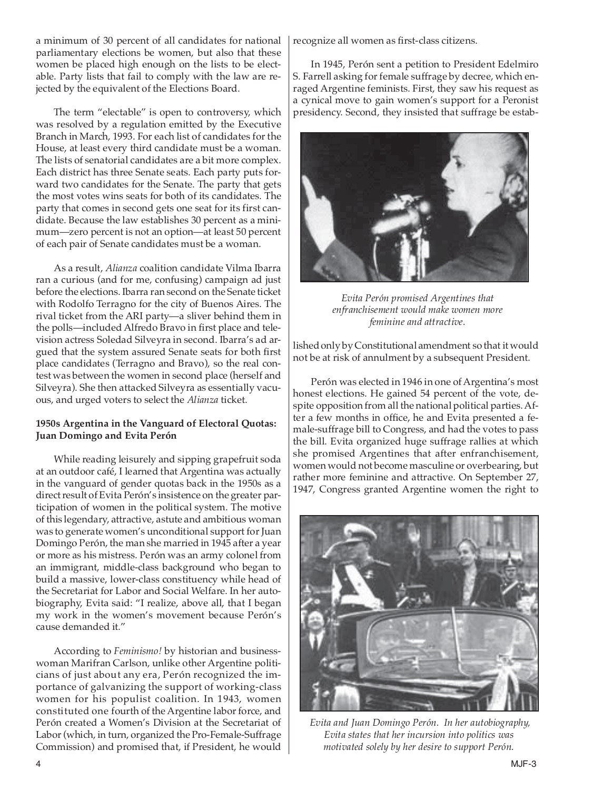a minimum of 30 percent of all candidates for national parliamentary elections be women, but also that these women be placed high enough on the lists to be electable. Party lists that fail to comply with the law are rejected by the equivalent of the Elections Board.

The term "electable" is open to controversy, which was resolved by a regulation emitted by the Executive Branch in March, 1993. For each list of candidates for the House, at least every third candidate must be a woman. The lists of senatorial candidates are a bit more complex. Each district has three Senate seats. Each party puts forward two candidates for the Senate. The party that gets the most votes wins seats for both of its candidates. The party that comes in second gets one seat for its first candidate. Because the law establishes 30 percent as a minimum—zero percent is not an option—at least 50 percent of each pair of Senate candidates must be a woman.

As a result, *Alianza* coalition candidate Vilma Ibarra ran a curious (and for me, confusing) campaign ad just before the elections. Ibarra ran second on the Senate ticket with Rodolfo Terragno for the city of Buenos Aires. The rival ticket from the ARI party—a sliver behind them in the polls—included Alfredo Bravo in first place and television actress Soledad Silveyra in second. Ibarra's ad argued that the system assured Senate seats for both first place candidates (Terragno and Bravo), so the real contest was between the women in second place (herself and Silveyra). She then attacked Silveyra as essentially vacuous, and urged voters to select the *Alianza* ticket.

#### **1950s Argentina in the Vanguard of Electoral Quotas: Juan Domingo and Evita Perón**

While reading leisurely and sipping grapefruit soda at an outdoor café, I learned that Argentina was actually in the vanguard of gender quotas back in the 1950s as a direct result of Evita Perón's insistence on the greater participation of women in the political system. The motive of this legendary, attractive, astute and ambitious woman was to generate women's unconditional support for Juan Domingo Perón, the man she married in 1945 after a year or more as his mistress. Perón was an army colonel from an immigrant, middle-class background who began to build a massive, lower-class constituency while head of the Secretariat for Labor and Social Welfare. In her autobiography, Evita said: "I realize, above all, that I began my work in the women's movement because Perón's cause demanded it."

According to *Feminismo!* by historian and businesswoman Marifran Carlson, unlike other Argentine politicians of just about any era, Perón recognized the importance of galvanizing the support of working-class women for his populist coalition. In 1943, women constituted one fourth of the Argentine labor force, and Perón created a Women's Division at the Secretariat of Labor (which, in turn, organized the Pro-Female-Suffrage Commission) and promised that, if President, he would recognize all women as first-class citizens.

In 1945, Perón sent a petition to President Edelmiro S. Farrell asking for female suffrage by decree, which enraged Argentine feminists. First, they saw his request as a cynical move to gain women's support for a Peronist presidency. Second, they insisted that suffrage be estab-



*Evita Perón promised Argentines that enfranchisement would make women more feminine and attractive.*

lished only by Constitutional amendment so that it would not be at risk of annulment by a subsequent President.

Perón was elected in 1946 in one of Argentina's most honest elections. He gained 54 percent of the vote, despite opposition from all the national political parties. After a few months in office, he and Evita presented a female-suffrage bill to Congress, and had the votes to pass the bill. Evita organized huge suffrage rallies at which she promised Argentines that after enfranchisement, women would not become masculine or overbearing, but rather more feminine and attractive. On September 27, 1947, Congress granted Argentine women the right to



 *Evita and Juan Domingo Perón. In her autobiography, Evita states that her incursion into politics was motivated solely by her desire to support Perón.*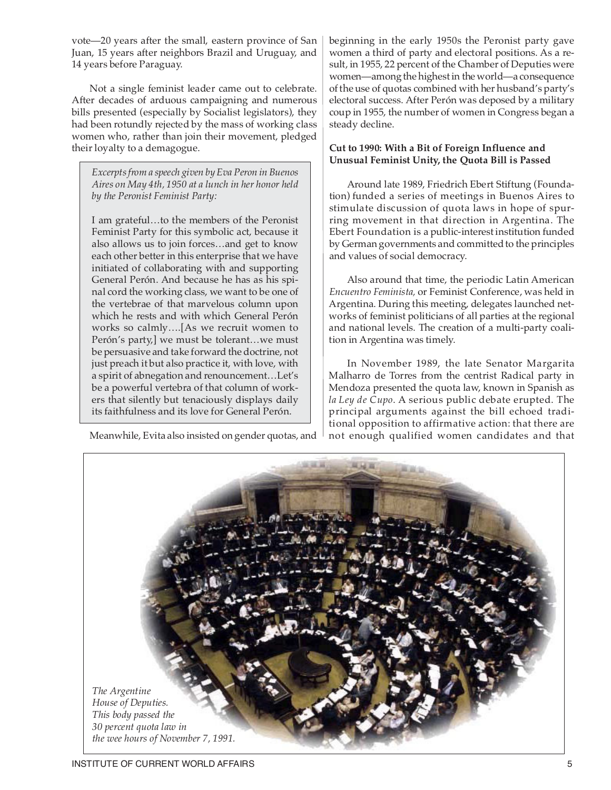vote—20 years after the small, eastern province of San Juan, 15 years after neighbors Brazil and Uruguay, and 14 years before Paraguay.

Not a single feminist leader came out to celebrate. After decades of arduous campaigning and numerous bills presented (especially by Socialist legislators), they had been rotundly rejected by the mass of working class women who, rather than join their movement, pledged their loyalty to a demagogue.

*Excerpts from a speech given by Eva Peron in Buenos Aires on May 4th, 1950 at a lunch in her honor held by the Peronist Feminist Party:*

I am grateful…to the members of the Peronist Feminist Party for this symbolic act, because it also allows us to join forces…and get to know each other better in this enterprise that we have initiated of collaborating with and supporting General Perón. And because he has as his spinal cord the working class, we want to be one of the vertebrae of that marvelous column upon which he rests and with which General Perón works so calmly….[As we recruit women to Perón's party,] we must be tolerant…we must be persuasive and take forward the doctrine, not just preach it but also practice it, with love, with a spirit of abnegation and renouncement…Let's be a powerful vertebra of that column of workers that silently but tenaciously displays daily its faithfulness and its love for General Perón.

beginning in the early 1950s the Peronist party gave women a third of party and electoral positions. As a result, in 1955, 22 percent of the Chamber of Deputies were women—among the highest in the world—a consequence of the use of quotas combined with her husband's party's electoral success. After Perón was deposed by a military coup in 1955, the number of women in Congress began a steady decline.

### **Cut to 1990: With a Bit of Foreign Influence and Unusual Feminist Unity, the Quota Bill is Passed**

Around late 1989, Friedrich Ebert Stiftung (Foundation) funded a series of meetings in Buenos Aires to stimulate discussion of quota laws in hope of spurring movement in that direction in Argentina. The Ebert Foundation is a public-interest institution funded by German governments and committed to the principles and values of social democracy.

Also around that time, the periodic Latin American *Encuentro Feminista,* or Feminist Conference, was held in Argentina. During this meeting, delegates launched networks of feminist politicians of all parties at the regional and national levels. The creation of a multi-party coalition in Argentina was timely.

In November 1989, the late Senator Margarita Malharro de Torres from the centrist Radical party in Mendoza presented the quota law, known in Spanish as *la Ley de Cupo*. A serious public debate erupted. The principal arguments against the bill echoed traditional opposition to affirmative action: that there are not enough qualified women candidates and that



Meanwhile, Evita also insisted on gender quotas, and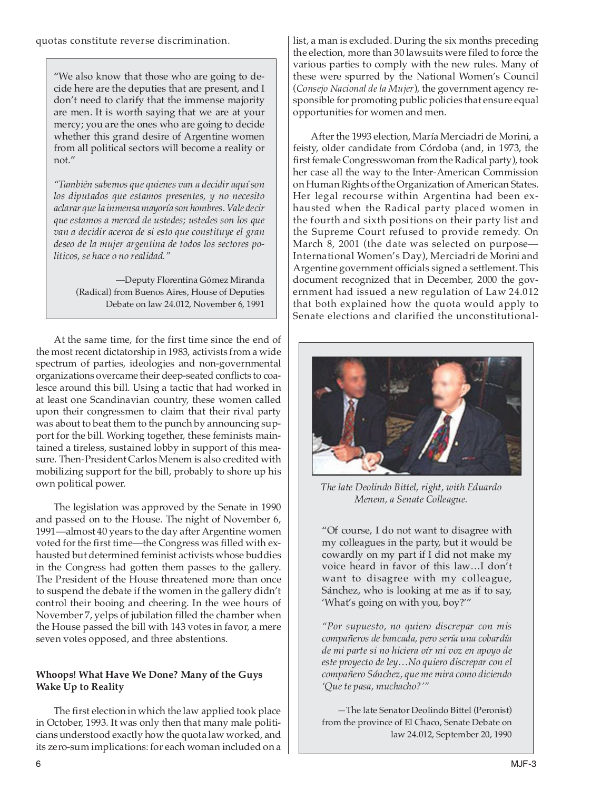quotas constitute reverse discrimination.

"We also know that those who are going to decide here are the deputies that are present, and I don't need to clarify that the immense majority are men. It is worth saying that we are at your mercy; you are the ones who are going to decide whether this grand desire of Argentine women from all political sectors will become a reality or not."

*"También sabemos que quienes van a decidir aquí son los diputados que estamos presentes, y no necesito aclarar que la inmensa mayoría son hombres. Vale decir que estamos a merced de ustedes; ustedes son los que van a decidir acerca de si esto que constituye el gran deseo de la mujer argentina de todos los sectores politicos, se hace o no realidad."*

> —Deputy Florentina Gómez Miranda (Radical) from Buenos Aires, House of Deputies Debate on law 24.012, November 6, 1991

At the same time, for the first time since the end of the most recent dictatorship in 1983, activists from a wide spectrum of parties, ideologies and non-governmental organizations overcame their deep-seated conflicts to coalesce around this bill. Using a tactic that had worked in at least one Scandinavian country, these women called upon their congressmen to claim that their rival party was about to beat them to the punch by announcing support for the bill. Working together, these feminists maintained a tireless, sustained lobby in support of this measure. Then-President Carlos Menem is also credited with mobilizing support for the bill, probably to shore up his own political power.

The legislation was approved by the Senate in 1990 and passed on to the House. The night of November 6, 1991—almost 40 years to the day after Argentine women voted for the first time—the Congress was filled with exhausted but determined feminist activists whose buddies in the Congress had gotten them passes to the gallery. The President of the House threatened more than once to suspend the debate if the women in the gallery didn't control their booing and cheering. In the wee hours of November 7, yelps of jubilation filled the chamber when the House passed the bill with 143 votes in favor, a mere seven votes opposed, and three abstentions.

#### **Whoops! What Have We Done? Many of the Guys Wake Up to Reality**

The first election in which the law applied took place in October, 1993. It was only then that many male politicians understood exactly how the quota law worked, and its zero-sum implications: for each woman included on a

list, a man is excluded. During the six months preceding the election, more than 30 lawsuits were filed to force the various parties to comply with the new rules. Many of these were spurred by the National Women's Council (*Consejo Nacional de la Mujer*), the government agency responsible for promoting public policies that ensure equal opportunities for women and men.

After the 1993 election, María Merciadri de Morini, a feisty, older candidate from Córdoba (and, in 1973, the first female Congresswoman from the Radical party), took her case all the way to the Inter-American Commission on Human Rights of the Organization of American States. Her legal recourse within Argentina had been exhausted when the Radical party placed women in the fourth and sixth positions on their party list and the Supreme Court refused to provide remedy. On March 8, 2001 (the date was selected on purpose— International Women's Day), Merciadri de Morini and Argentine government officials signed a settlement. This document recognized that in December, 2000 the government had issued a new regulation of Law 24.012 that both explained how the quota would apply to Senate elections and clarified the unconstitutional-



*The late Deolindo Bittel, right, with Eduardo Menem, a Senate Colleague.*

"Of course, I do not want to disagree with my colleagues in the party, but it would be cowardly on my part if I did not make my voice heard in favor of this law…I don't want to disagree with my colleague, Sánchez, who is looking at me as if to say, 'What's going on with you, boy?'"

*"Por supuesto, no quiero discrepar con mis compañeros de bancada, pero sería una cobardía de mi parte si no hiciera oír mi voz en apoyo de este proyecto de ley…No quiero discrepar con el compañero Sánchez, que me mira como diciendo 'Que te pasa, muchacho?'"*

*—*The late Senator Deolindo Bittel (Peronist) from the province of El Chaco, Senate Debate on law 24.012, September 20, 1990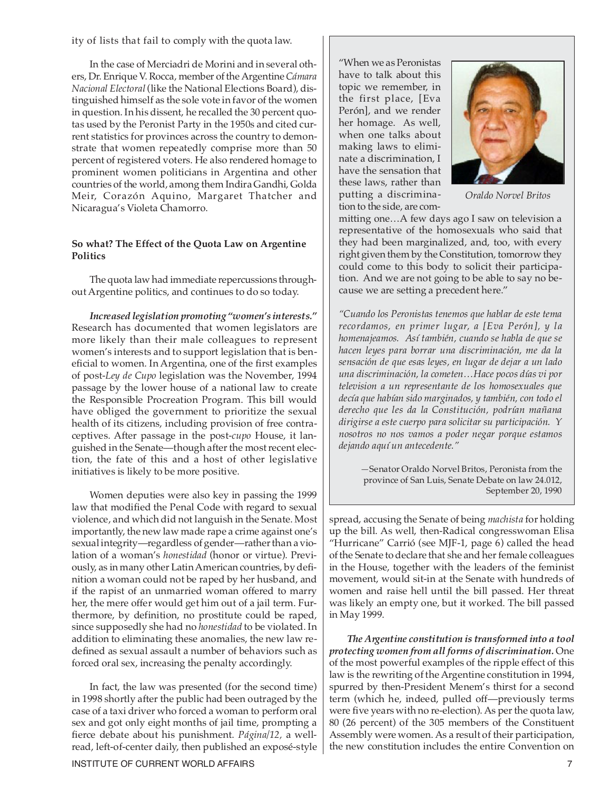ity of lists that fail to comply with the quota law.

In the case of Merciadri de Morini and in several others, Dr. Enrique V. Rocca, member of the Argentine *Cámara Nacional Electoral* (like the National Elections Board), distinguished himself as the sole vote in favor of the women in question. In his dissent, he recalled the 30 percent quotas used by the Peronist Party in the 1950s and cited current statistics for provinces across the country to demonstrate that women repeatedly comprise more than 50 percent of registered voters. He also rendered homage to prominent women politicians in Argentina and other countries of the world, among them Indira Gandhi, Golda Meir, Corazón Aquino, Margaret Thatcher and Nicaragua's Violeta Chamorro.

#### **So what? The Effect of the Quota Law on Argentine Politics**

The quota law had immediate repercussions throughout Argentine politics, and continues to do so today.

*Increased legislation promoting "women's interests."* Research has documented that women legislators are more likely than their male colleagues to represent women's interests and to support legislation that is beneficial to women. In Argentina, one of the first examples of post-*Ley de Cupo* legislation was the November, 1994 passage by the lower house of a national law to create the Responsible Procreation Program. This bill would have obliged the government to prioritize the sexual health of its citizens, including provision of free contraceptives. After passage in the post-*cupo* House, it languished in the Senate—though after the most recent election, the fate of this and a host of other legislative initiatives is likely to be more positive.

Women deputies were also key in passing the 1999 law that modified the Penal Code with regard to sexual violence, and which did not languish in the Senate. Most importantly, the new law made rape a crime against one's sexual integrity—regardless of gender—rather than a violation of a woman's *honestidad* (honor or virtue). Previously, as in many other Latin American countries, by definition a woman could not be raped by her husband, and if the rapist of an unmarried woman offered to marry her, the mere offer would get him out of a jail term. Furthermore, by definition, no prostitute could be raped, since supposedly she had no *honestidad* to be violated. In addition to eliminating these anomalies, the new law redefined as sexual assault a number of behaviors such as forced oral sex, increasing the penalty accordingly.

In fact, the law was presented (for the second time) in 1998 shortly after the public had been outraged by the case of a taxi driver who forced a woman to perform oral sex and got only eight months of jail time, prompting a fierce debate about his punishment. *Página/12,* a wellread, left-of-center daily, then published an exposé-style

"When we as Peronistas have to talk about this topic we remember, in the first place, [Eva Perón], and we render her homage. As well, when one talks about making laws to eliminate a discrimination, I have the sensation that these laws, rather than putting a discrimination to the side, are com-



*Oraldo Norvel Britos*

mitting one…A few days ago I saw on television a representative of the homosexuals who said that they had been marginalized, and, too, with every right given them by the Constitution, tomorrow they could come to this body to solicit their participation. And we are not going to be able to say no because we are setting a precedent here."

*"Cuando los Peronistas tenemos que hablar de este tema recordamos, en primer lugar, a [Eva Perón], y la homenajeamos. Así también, cuando se habla de que se hacen leyes para borrar una discriminación, me da la sensación de que esas leyes, en lugar de dejar a un lado una discriminación, la cometen…Hace pocos días vi por television a un representante de los homosexuales que decía que habían sido marginados, y también, con todo el derecho que les da la Constitución, podrían mañana dirigirse a este cuerpo para solicitar su participación. Y nosotros no nos vamos a poder negar porque estamos dejando aquí un antecedente."*

> *—*Senator Oraldo Norvel Britos, Peronista from the province of San Luis, Senate Debate on law 24.012, September 20, 1990

spread, accusing the Senate of being *machista* for holding up the bill. As well, then-Radical congresswoman Elisa "Hurricane" Carrió (see MJF-1, page 6) called the head of the Senate to declare that she and her female colleagues in the House, together with the leaders of the feminist movement, would sit-in at the Senate with hundreds of women and raise hell until the bill passed. Her threat was likely an empty one, but it worked. The bill passed in May 1999.

*The Argentine constitution is transformed into a tool protecting women from all forms of discrimination.* One of the most powerful examples of the ripple effect of this law is the rewriting of the Argentine constitution in 1994, spurred by then-President Menem's thirst for a second term (which he, indeed, pulled off—previously terms were five years with no re-election). As per the quota law, 80 (26 percent) of the 305 members of the Constituent Assembly were women. As a result of their participation, the new constitution includes the entire Convention on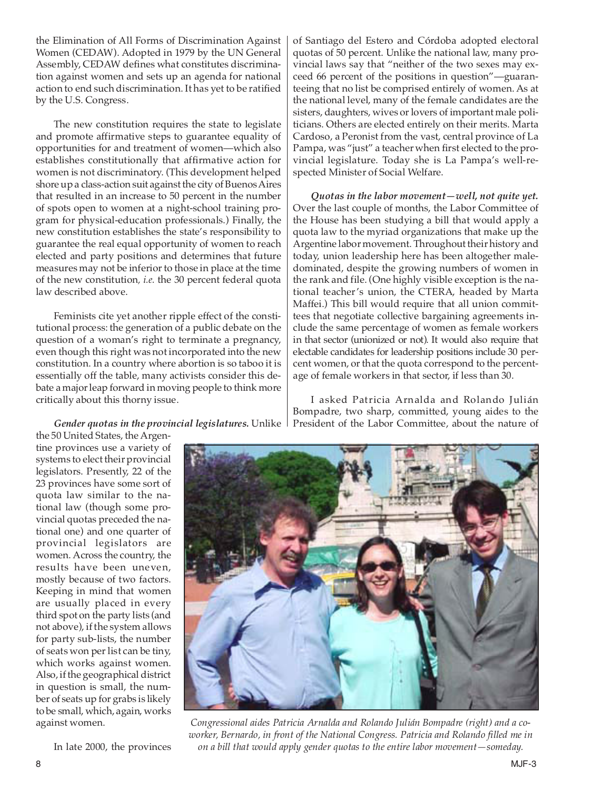the Elimination of All Forms of Discrimination Against Women (CEDAW). Adopted in 1979 by the UN General Assembly, CEDAW defines what constitutes discrimination against women and sets up an agenda for national action to end such discrimination. It has yet to be ratified by the U.S. Congress.

The new constitution requires the state to legislate and promote affirmative steps to guarantee equality of opportunities for and treatment of women—which also establishes constitutionally that affirmative action for women is not discriminatory. (This development helped shore up a class-action suit against the city of Buenos Aires that resulted in an increase to 50 percent in the number of spots open to women at a night-school training program for physical-education professionals.) Finally, the new constitution establishes the state's responsibility to guarantee the real equal opportunity of women to reach elected and party positions and determines that future measures may not be inferior to those in place at the time of the new constitution*, i.e.* the 30 percent federal quota law described above.

Feminists cite yet another ripple effect of the constitutional process: the generation of a public debate on the question of a woman's right to terminate a pregnancy, even though this right was not incorporated into the new constitution. In a country where abortion is so taboo it is essentially off the table, many activists consider this debate a major leap forward in moving people to think more critically about this thorny issue.

*Gender quotas in the provincial legislatures.* Unlike

the 50 United States, the Argentine provinces use a variety of systems to elect their provincial legislators. Presently, 22 of the 23 provinces have some sort of quota law similar to the national law (though some provincial quotas preceded the national one) and one quarter of provincial legislators are women. Across the country, the results have been uneven, mostly because of two factors. Keeping in mind that women are usually placed in every third spot on the party lists (and not above), if the system allows for party sub-lists, the number of seats won per list can be tiny, which works against women. Also, if the geographical district in question is small, the number of seats up for grabs is likely to be small, which, again, works against women.

In late 2000, the provinces

of Santiago del Estero and Córdoba adopted electoral quotas of 50 percent. Unlike the national law, many provincial laws say that "neither of the two sexes may exceed 66 percent of the positions in question"—guaranteeing that no list be comprised entirely of women. As at the national level, many of the female candidates are the sisters, daughters, wives or lovers of important male politicians. Others are elected entirely on their merits. Marta Cardoso, a Peronist from the vast, central province of La Pampa, was "just" a teacher when first elected to the provincial legislature. Today she is La Pampa's well-respected Minister of Social Welfare.

*Quotas in the labor movement—well, not quite yet.* Over the last couple of months, the Labor Committee of the House has been studying a bill that would apply a quota law to the myriad organizations that make up the Argentine labor movement. Throughout their history and today, union leadership here has been altogether maledominated, despite the growing numbers of women in the rank and file. (One highly visible exception is the national teacher's union, the CTERA, headed by Marta Maffei.) This bill would require that all union committees that negotiate collective bargaining agreements include the same percentage of women as female workers in that sector (unionized or not). It would also require that electable candidates for leadership positions include 30 percent women, or that the quota correspond to the percentage of female workers in that sector, if less than 30.

I asked Patricia Arnalda and Rolando Julián Bompadre, two sharp, committed, young aides to the President of the Labor Committee, about the nature of



*Congressional aides Patricia Arnalda and Rolando Julián Bompadre (right) and a coworker, Bernardo, in front of the National Congress. Patricia and Rolando filled me in on a bill that would apply gender quotas to the entire labor movement—someday.*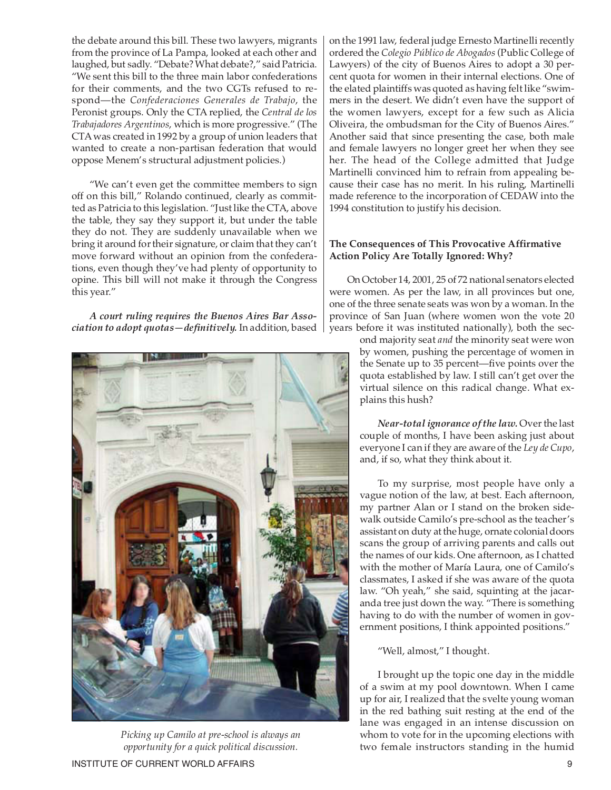the debate around this bill. These two lawyers, migrants from the province of La Pampa, looked at each other and laughed, but sadly. "Debate? What debate?," said Patricia. "We sent this bill to the three main labor confederations for their comments, and the two CGTs refused to respond—the *Confederaciones Generales de Trabajo*, the Peronist groups. Only the CTA replied, the *Central de los Trabajadores Argentinos*, which is more progressive." (The CTA was created in 1992 by a group of union leaders that wanted to create a non-partisan federation that would oppose Menem's structural adjustment policies.)

"We can't even get the committee members to sign off on this bill," Rolando continued, clearly as committed as Patricia to this legislation. "Just like the CTA, above the table, they say they support it, but under the table they do not. They are suddenly unavailable when we bring it around for their signature, or claim that they can't move forward without an opinion from the confederations, even though they've had plenty of opportunity to opine. This bill will not make it through the Congress this year."

*A court ruling requires the Buenos Aires Bar Association to adopt quotas—definitively.* In addition, based



*Picking up Camilo at pre-school is always an opportunity for a quick political discussion.*

on the 1991 law, federal judge Ernesto Martinelli recently ordered the *Colegio Público de Abogados* (Public College of Lawyers) of the city of Buenos Aires to adopt a 30 percent quota for women in their internal elections. One of the elated plaintiffs was quoted as having felt like "swimmers in the desert. We didn't even have the support of the women lawyers, except for a few such as Alicia Oliveira, the ombudsman for the City of Buenos Aires." Another said that since presenting the case, both male and female lawyers no longer greet her when they see her. The head of the College admitted that Judge Martinelli convinced him to refrain from appealing because their case has no merit. In his ruling, Martinelli made reference to the incorporation of CEDAW into the 1994 constitution to justify his decision.

#### **The Consequences of This Provocative Affirmative Action Policy Are Totally Ignored: Why?**

On October 14, 2001, 25 of 72 national senators elected were women. As per the law, in all provinces but one, one of the three senate seats was won by a woman. In the province of San Juan (where women won the vote 20 years before it was instituted nationally), both the sec-

> ond majority seat *and* the minority seat were won by women, pushing the percentage of women in the Senate up to 35 percent—five points over the quota established by law. I still can't get over the virtual silence on this radical change. What explains this hush?

> *Near-total ignorance of the law.* Over the last couple of months, I have been asking just about everyone I can if they are aware of the *Ley de Cupo*, and, if so, what they think about it.

> To my surprise, most people have only a vague notion of the law, at best. Each afternoon, my partner Alan or I stand on the broken sidewalk outside Camilo's pre-school as the teacher's assistant on duty at the huge, ornate colonial doors scans the group of arriving parents and calls out the names of our kids. One afternoon, as I chatted with the mother of María Laura, one of Camilo's classmates, I asked if she was aware of the quota law. "Oh yeah," she said, squinting at the jacaranda tree just down the way. "There is something having to do with the number of women in government positions, I think appointed positions."

"Well, almost," I thought.

I brought up the topic one day in the middle of a swim at my pool downtown. When I came up for air, I realized that the svelte young woman in the red bathing suit resting at the end of the lane was engaged in an intense discussion on whom to vote for in the upcoming elections with two female instructors standing in the humid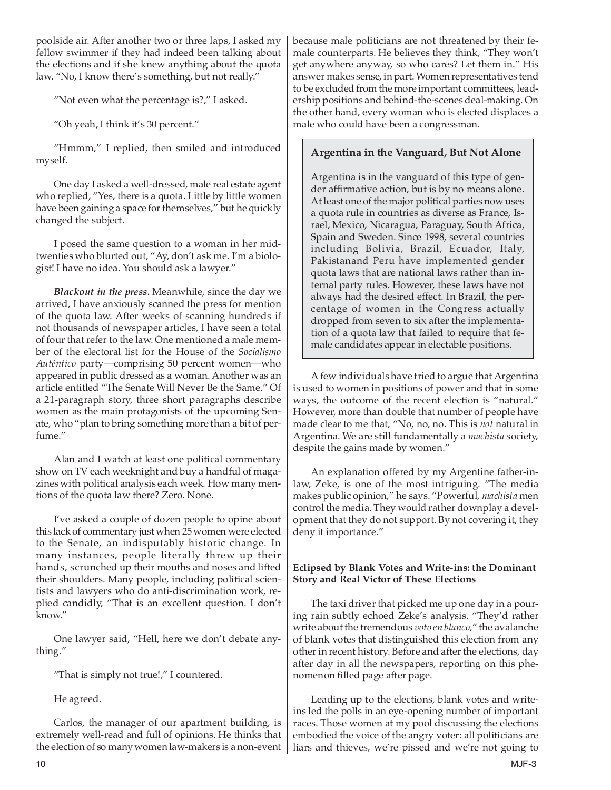poolside air. After another two or three laps, I asked my fellow swimmer if they had indeed been talking about the elections and if she knew anything about the quota law. "No, I know there's something, but not really."

"Not even what the percentage is?," I asked.

"Oh yeah, I think it's 30 percent."

"Hmmm," I replied, then smiled and introduced myself.

One day I asked a well-dressed, male real estate agent who replied, "Yes, there is a quota. Little by little women have been gaining a space for themselves," but he quickly changed the subject.

I posed the same question to a woman in her midtwenties who blurted out, "Ay, don't ask me. I'm a biologist! I have no idea. You should ask a lawyer."

*Blackout in the press.* Meanwhile, since the day we arrived, I have anxiously scanned the press for mention of the quota law. After weeks of scanning hundreds if not thousands of newspaper articles, I have seen a total of four that refer to the law. One mentioned a male member of the electoral list for the House of the *Socialismo Auténtico* party—comprising 50 percent women—who appeared in public dressed as a woman. Another was an article entitled "The Senate Will Never Be the Same." Of a 21-paragraph story, three short paragraphs describe women as the main protagonists of the upcoming Senate, who "plan to bring something more than a bit of perfume."

Alan and I watch at least one political commentary show on TV each weeknight and buy a handful of magazines with political analysis each week. How many mentions of the quota law there? Zero. None.

I've asked a couple of dozen people to opine about this lack of commentary just when 25 women were elected to the Senate, an indisputably historic change. In many instances, people literally threw up their hands, scrunched up their mouths and noses and lifted their shoulders. Many people, including political scientists and lawyers who do anti-discrimination work, replied candidly, "That is an excellent question. I don't know."

One lawyer said, "Hell, here we don't debate anything."

"That is simply not true!," I countered.

He agreed.

Carlos, the manager of our apartment building, is extremely well-read and full of opinions. He thinks that the election of so many women law-makers is a non-event

because male politicians are not threatened by their female counterparts. He believes they think, "They won't get anywhere anyway, so who cares? Let them in." His answer makes sense, in part. Women representatives tend to be excluded from the more important committees, leadership positions and behind-the-scenes deal-making. On the other hand, every woman who is elected displaces a male who could have been a congressman.

# **Argentina in the Vanguard, But Not Alone**

Argentina is in the vanguard of this type of gender affirmative action, but is by no means alone. At least one of the major political parties now uses a quota rule in countries as diverse as France, Israel, Mexico, Nicaragua, Paraguay, South Africa, Spain and Sweden. Since 1998, several countries including Bolivia, Brazil, Ecuador, Italy, Pakistanand Peru have implemented gender quota laws that are national laws rather than internal party rules. However, these laws have not always had the desired effect. In Brazil, the percentage of women in the Congress actually dropped from seven to six after the implementation of a quota law that failed to require that female candidates appear in electable positions.

A few individuals have tried to argue that Argentina is used to women in positions of power and that in some ways, the outcome of the recent election is "natural." However, more than double that number of people have made clear to me that, "No, no, no. This is *not* natural in Argentina. We are still fundamentally a *machista* society, despite the gains made by women."

An explanation offered by my Argentine father-inlaw, Zeke, is one of the most intriguing. "The media makes public opinion," he says. "Powerful, *machista* men control the media. They would rather downplay a development that they do not support. By not covering it, they deny it importance."

## **Eclipsed by Blank Votes and Write-ins: the Dominant Story and Real Victor of These Elections**

The taxi driver that picked me up one day in a pouring rain subtly echoed Zeke's analysis. "They'd rather write about the tremendous *voto en blanco,*" the avalanche of blank votes that distinguished this election from any other in recent history. Before and after the elections, day after day in all the newspapers, reporting on this phenomenon filled page after page.

Leading up to the elections, blank votes and writeins led the polls in an eye-opening number of important races. Those women at my pool discussing the elections embodied the voice of the angry voter: all politicians are liars and thieves, we're pissed and we're not going to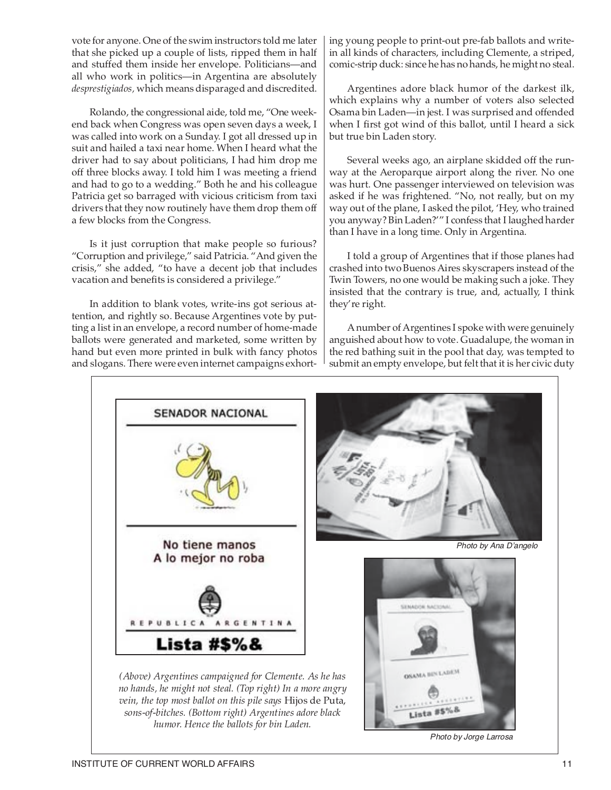vote for anyone. One of the swim instructors told me later that she picked up a couple of lists, ripped them in half and stuffed them inside her envelope. Politicians—and all who work in politics—in Argentina are absolutely *desprestigiados,* which means disparaged and discredited.

Rolando, the congressional aide, told me, "One weekend back when Congress was open seven days a week, I was called into work on a Sunday. I got all dressed up in suit and hailed a taxi near home. When I heard what the driver had to say about politicians, I had him drop me off three blocks away. I told him I was meeting a friend and had to go to a wedding." Both he and his colleague Patricia get so barraged with vicious criticism from taxi drivers that they now routinely have them drop them off a few blocks from the Congress.

Is it just corruption that make people so furious? "Corruption and privilege," said Patricia. "And given the crisis," she added, "to have a decent job that includes vacation and benefits is considered a privilege."

In addition to blank votes, write-ins got serious attention, and rightly so. Because Argentines vote by putting a list in an envelope, a record number of home-made ballots were generated and marketed, some written by hand but even more printed in bulk with fancy photos and slogans. There were even internet campaigns exhorting young people to print-out pre-fab ballots and writein all kinds of characters, including Clemente, a striped, comic-strip duck: since he has no hands, he might no steal.

Argentines adore black humor of the darkest ilk, which explains why a number of voters also selected Osama bin Laden—in jest. I was surprised and offended when I first got wind of this ballot, until I heard a sick but true bin Laden story.

Several weeks ago, an airplane skidded off the runway at the Aeroparque airport along the river. No one was hurt. One passenger interviewed on television was asked if he was frightened. "No, not really, but on my way out of the plane, I asked the pilot, 'Hey, who trained you anyway? Bin Laden?'" I confess that I laughed harder than I have in a long time. Only in Argentina.

I told a group of Argentines that if those planes had crashed into two Buenos Aires skyscrapers instead of the Twin Towers, no one would be making such a joke. They insisted that the contrary is true, and, actually, I think they're right.

A number of Argentines I spoke with were genuinely anguished about how to vote. Guadalupe, the woman in the red bathing suit in the pool that day, was tempted to submit an empty envelope, but felt that it is her civic duty



*(Above) Argentines campaigned for Clemente. As he has no hands, he might not steal. (Top right) In a more angry vein, the top most ballot on this pile says* Hijos de Puta, *sons-of-bitches. (Bottom right) Argentines adore black humor. Hence the ballots for bin Laden.*



Photo by Ana D'angelo



Photo by Jorge Larrosa